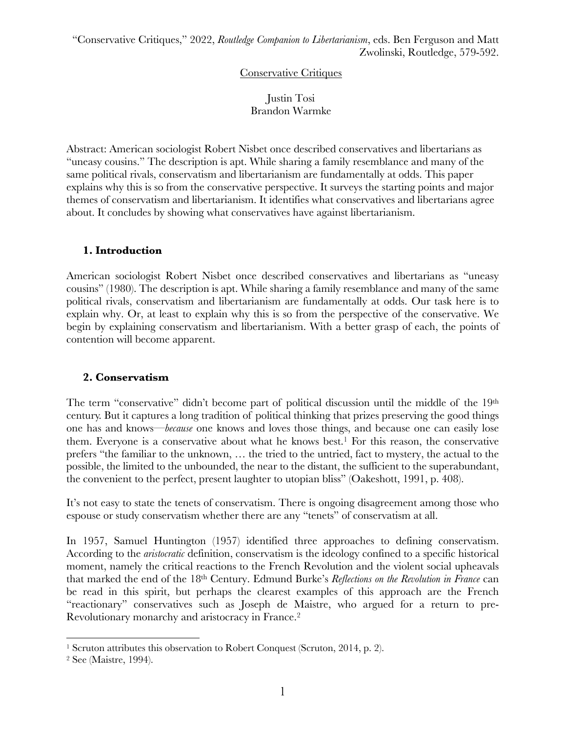#### Conservative Critiques

#### Justin Tosi Brandon Warmke

Abstract: American sociologist Robert Nisbet once described conservatives and libertarians as "uneasy cousins." The description is apt. While sharing a family resemblance and many of the same political rivals, conservatism and libertarianism are fundamentally at odds. This paper explains why this is so from the conservative perspective. It surveys the starting points and major themes of conservatism and libertarianism. It identifies what conservatives and libertarians agree about. It concludes by showing what conservatives have against libertarianism.

#### **1. Introduction**

American sociologist Robert Nisbet once described conservatives and libertarians as "uneasy cousins" (1980). The description is apt. While sharing a family resemblance and many of the same political rivals, conservatism and libertarianism are fundamentally at odds. Our task here is to explain why. Or, at least to explain why this is so from the perspective of the conservative. We begin by explaining conservatism and libertarianism. With a better grasp of each, the points of contention will become apparent.

#### **2. Conservatism**

The term "conservative" didn't become part of political discussion until the middle of the 19<sup>th</sup> century. But it captures a long tradition of political thinking that prizes preserving the good things one has and knows—*because* one knows and loves those things, and because one can easily lose them. Everyone is a conservative about what he knows best.1 For this reason, the conservative prefers "the familiar to the unknown, … the tried to the untried, fact to mystery, the actual to the possible, the limited to the unbounded, the near to the distant, the sufficient to the superabundant, the convenient to the perfect, present laughter to utopian bliss" (Oakeshott, 1991, p. 408).

It's not easy to state the tenets of conservatism. There is ongoing disagreement among those who espouse or study conservatism whether there are any "tenets" of conservatism at all.

In 1957, Samuel Huntington (1957) identified three approaches to defining conservatism. According to the *aristocratic* definition, conservatism is the ideology confined to a specific historical moment, namely the critical reactions to the French Revolution and the violent social upheavals that marked the end of the 18th Century. Edmund Burke's *Reflections on the Revolution in France* can be read in this spirit, but perhaps the clearest examples of this approach are the French "reactionary" conservatives such as Joseph de Maistre, who argued for a return to pre-Revolutionary monarchy and aristocracy in France. 2

<sup>&</sup>lt;sup>1</sup> Scruton attributes this observation to Robert Conquest (Scruton, 2014, p. 2).

<sup>2</sup> See (Maistre, 1994).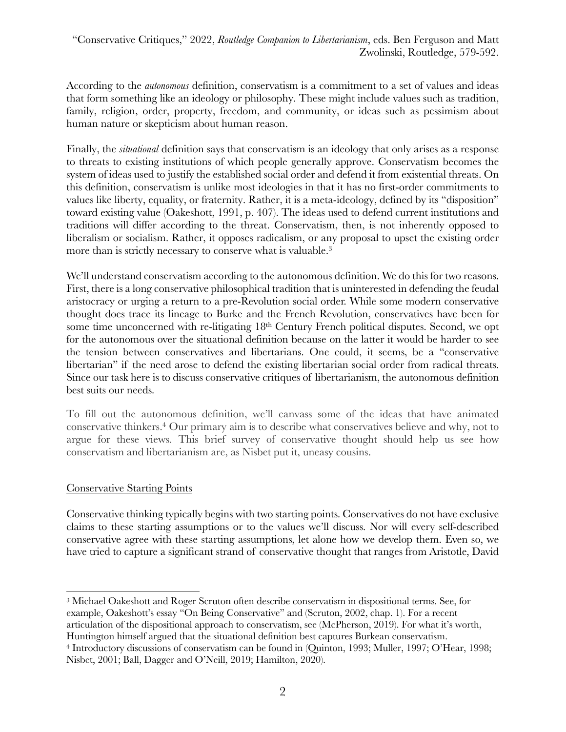According to the *autonomous* definition, conservatism is a commitment to a set of values and ideas that form something like an ideology or philosophy. These might include values such as tradition, family, religion, order, property, freedom, and community, or ideas such as pessimism about human nature or skepticism about human reason.

Finally, the *situational* definition says that conservatism is an ideology that only arises as a response to threats to existing institutions of which people generally approve. Conservatism becomes the system of ideas used to justify the established social order and defend it from existential threats. On this definition, conservatism is unlike most ideologies in that it has no first-order commitments to values like liberty, equality, or fraternity. Rather, it is a meta-ideology, defined by its "disposition" toward existing value (Oakeshott, 1991, p. 407). The ideas used to defend current institutions and traditions will differ according to the threat. Conservatism, then, is not inherently opposed to liberalism or socialism. Rather, it opposes radicalism, or any proposal to upset the existing order more than is strictly necessary to conserve what is valuable. 3

We'll understand conservatism according to the autonomous definition. We do this for two reasons. First, there is a long conservative philosophical tradition that is uninterested in defending the feudal aristocracy or urging a return to a pre-Revolution social order. While some modern conservative thought does trace its lineage to Burke and the French Revolution, conservatives have been for some time unconcerned with re-litigating 18<sup>th</sup> Century French political disputes. Second, we opt for the autonomous over the situational definition because on the latter it would be harder to see the tension between conservatives and libertarians. One could, it seems, be a "conservative libertarian" if the need arose to defend the existing libertarian social order from radical threats. Since our task here is to discuss conservative critiques of libertarianism, the autonomous definition best suits our needs.

To fill out the autonomous definition, we'll canvass some of the ideas that have animated conservative thinkers. <sup>4</sup> Our primary aim is to describe what conservatives believe and why, not to argue for these views. This brief survey of conservative thought should help us see how conservatism and libertarianism are, as Nisbet put it, uneasy cousins.

# Conservative Starting Points

Conservative thinking typically begins with two starting points. Conservatives do not have exclusive claims to these starting assumptions or to the values we'll discuss. Nor will every self-described conservative agree with these starting assumptions, let alone how we develop them. Even so, we have tried to capture a significant strand of conservative thought that ranges from Aristotle, David

<sup>3</sup> Michael Oakeshott and Roger Scruton often describe conservatism in dispositional terms. See, for example, Oakeshott's essay "On Being Conservative" and (Scruton, 2002, chap. 1). For a recent articulation of the dispositional approach to conservatism, see (McPherson, 2019). For what it's worth, Huntington himself argued that the situational definition best captures Burkean conservatism.

<sup>4</sup> Introductory discussions of conservatism can be found in (Quinton, 1993; Muller, 1997; O'Hear, 1998; Nisbet, 2001; Ball, Dagger and O'Neill, 2019; Hamilton, 2020).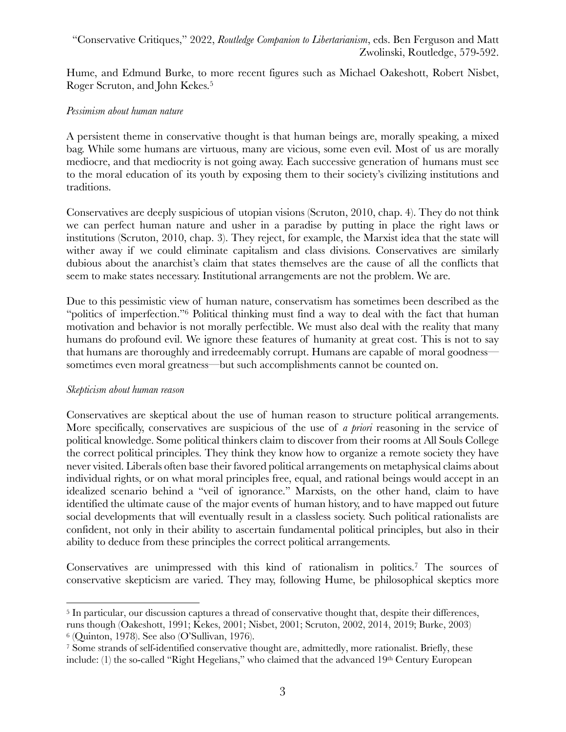Hume, and Edmund Burke, to more recent figures such as Michael Oakeshott, Robert Nisbet, Roger Scruton, and John Kekes.5

#### *Pessimism about human nature*

A persistent theme in conservative thought is that human beings are, morally speaking, a mixed bag. While some humans are virtuous, many are vicious, some even evil. Most of us are morally mediocre, and that mediocrity is not going away. Each successive generation of humans must see to the moral education of its youth by exposing them to their society's civilizing institutions and traditions.

Conservatives are deeply suspicious of utopian visions (Scruton, 2010, chap. 4). They do not think we can perfect human nature and usher in a paradise by putting in place the right laws or institutions (Scruton, 2010, chap. 3). They reject, for example, the Marxist idea that the state will wither away if we could eliminate capitalism and class divisions. Conservatives are similarly dubious about the anarchist's claim that states themselves are the cause of all the conflicts that seem to make states necessary. Institutional arrangements are not the problem. We are.

Due to this pessimistic view of human nature, conservatism has sometimes been described as the "politics of imperfection."6 Political thinking must find a way to deal with the fact that human motivation and behavior is not morally perfectible. We must also deal with the reality that many humans do profound evil. We ignore these features of humanity at great cost. This is not to say that humans are thoroughly and irredeemably corrupt. Humans are capable of moral goodness sometimes even moral greatness—but such accomplishments cannot be counted on.

#### *Skepticism about human reason*

Conservatives are skeptical about the use of human reason to structure political arrangements. More specifically, conservatives are suspicious of the use of *a priori* reasoning in the service of political knowledge. Some political thinkers claim to discover from their rooms at All Souls College the correct political principles. They think they know how to organize a remote society they have never visited. Liberals often base their favored political arrangements on metaphysical claims about individual rights, or on what moral principles free, equal, and rational beings would accept in an idealized scenario behind a "veil of ignorance." Marxists, on the other hand, claim to have identified the ultimate cause of the major events of human history, and to have mapped out future social developments that will eventually result in a classless society. Such political rationalists are confident, not only in their ability to ascertain fundamental political principles, but also in their ability to deduce from these principles the correct political arrangements.

Conservatives are unimpressed with this kind of rationalism in politics.7 The sources of conservative skepticism are varied. They may, following Hume, be philosophical skeptics more

<sup>5</sup> In particular, our discussion captures a thread of conservative thought that, despite their differences,

runs though (Oakeshott, 1991; Kekes, 2001; Nisbet, 2001; Scruton, 2002, 2014, 2019; Burke, 2003) <sup>6</sup> (Quinton, 1978). See also (O'Sullivan, 1976).

<sup>7</sup> Some strands of self-identified conservative thought are, admittedly, more rationalist. Briefly, these include: (1) the so-called "Right Hegelians," who claimed that the advanced  $19<sup>th</sup>$  Century European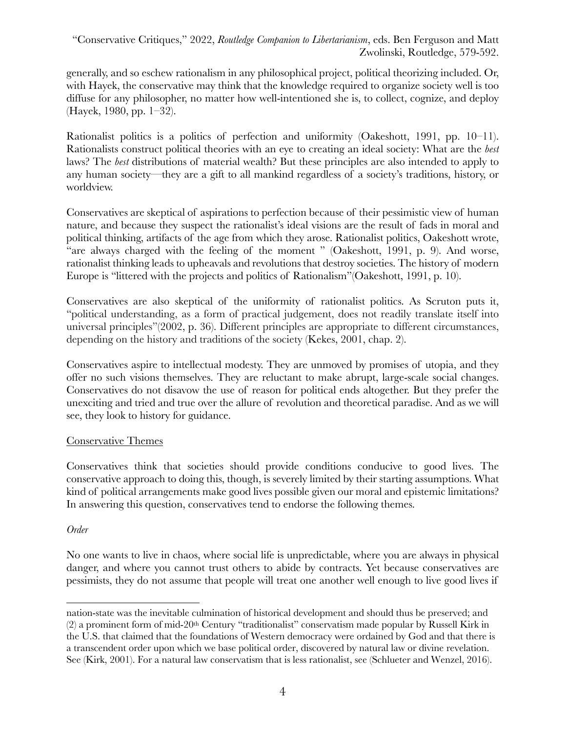generally, and so eschew rationalism in any philosophical project, political theorizing included. Or, with Hayek, the conservative may think that the knowledge required to organize society well is too diffuse for any philosopher, no matter how well-intentioned she is, to collect, cognize, and deploy (Hayek, 1980, pp. 1–32).

Rationalist politics is a politics of perfection and uniformity (Oakeshott, 1991, pp. 10–11). Rationalists construct political theories with an eye to creating an ideal society: What are the *best* laws? The *best* distributions of material wealth? But these principles are also intended to apply to any human society—they are a gift to all mankind regardless of a society's traditions, history, or worldview.

Conservatives are skeptical of aspirations to perfection because of their pessimistic view of human nature, and because they suspect the rationalist's ideal visions are the result of fads in moral and political thinking, artifacts of the age from which they arose. Rationalist politics, Oakeshott wrote, "are always charged with the feeling of the moment " (Oakeshott, 1991, p. 9). And worse, rationalist thinking leads to upheavals and revolutions that destroy societies. The history of modern Europe is "littered with the projects and politics of Rationalism"(Oakeshott, 1991, p. 10).

Conservatives are also skeptical of the uniformity of rationalist politics. As Scruton puts it, "political understanding, as a form of practical judgement, does not readily translate itself into universal principles"(2002, p. 36). Different principles are appropriate to different circumstances, depending on the history and traditions of the society (Kekes, 2001, chap. 2).

Conservatives aspire to intellectual modesty. They are unmoved by promises of utopia, and they offer no such visions themselves. They are reluctant to make abrupt, large-scale social changes. Conservatives do not disavow the use of reason for political ends altogether. But they prefer the unexciting and tried and true over the allure of revolution and theoretical paradise. And as we will see, they look to history for guidance.

# Conservative Themes

Conservatives think that societies should provide conditions conducive to good lives. The conservative approach to doing this, though, is severely limited by their starting assumptions. What kind of political arrangements make good lives possible given our moral and epistemic limitations? In answering this question, conservatives tend to endorse the following themes.

# *Order*

No one wants to live in chaos, where social life is unpredictable, where you are always in physical danger, and where you cannot trust others to abide by contracts. Yet because conservatives are pessimists, they do not assume that people will treat one another well enough to live good lives if

nation-state was the inevitable culmination of historical development and should thus be preserved; and (2) a prominent form of mid-20th Century "traditionalist" conservatism made popular by Russell Kirk in the U.S. that claimed that the foundations of Western democracy were ordained by God and that there is a transcendent order upon which we base political order, discovered by natural law or divine revelation. See (Kirk, 2001). For a natural law conservatism that is less rationalist, see (Schlueter and Wenzel, 2016).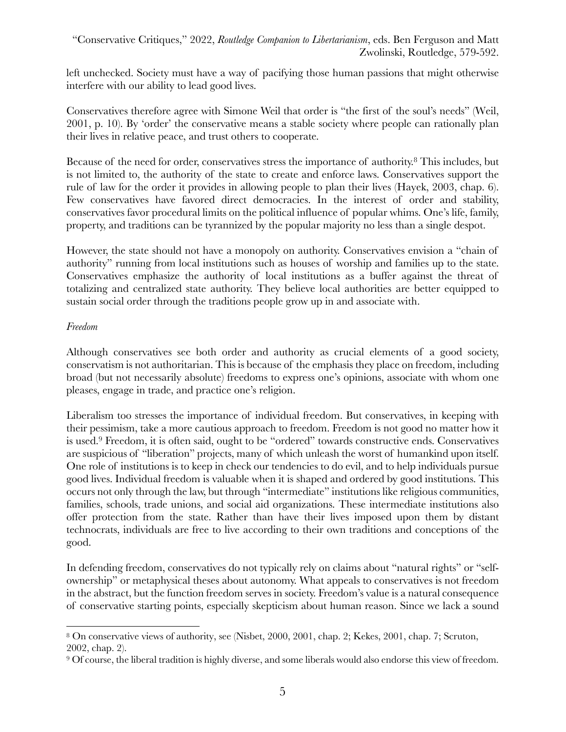left unchecked. Society must have a way of pacifying those human passions that might otherwise interfere with our ability to lead good lives.

Conservatives therefore agree with Simone Weil that order is "the first of the soul's needs" (Weil, 2001, p. 10). By 'order' the conservative means a stable society where people can rationally plan their lives in relative peace, and trust others to cooperate.

Because of the need for order, conservatives stress the importance of authority.8 This includes, but is not limited to, the authority of the state to create and enforce laws. Conservatives support the rule of law for the order it provides in allowing people to plan their lives (Hayek, 2003, chap. 6). Few conservatives have favored direct democracies. In the interest of order and stability, conservatives favor procedural limits on the political influence of popular whims. One's life, family, property, and traditions can be tyrannized by the popular majority no less than a single despot.

However, the state should not have a monopoly on authority. Conservatives envision a "chain of authority" running from local institutions such as houses of worship and families up to the state. Conservatives emphasize the authority of local institutions as a buffer against the threat of totalizing and centralized state authority. They believe local authorities are better equipped to sustain social order through the traditions people grow up in and associate with.

#### *Freedom*

Although conservatives see both order and authority as crucial elements of a good society, conservatism is not authoritarian. This is because of the emphasis they place on freedom, including broad (but not necessarily absolute) freedoms to express one's opinions, associate with whom one pleases, engage in trade, and practice one's religion.

Liberalism too stresses the importance of individual freedom. But conservatives, in keeping with their pessimism, take a more cautious approach to freedom. Freedom is not good no matter how it is used.9 Freedom, it is often said, ought to be "ordered" towards constructive ends. Conservatives are suspicious of "liberation" projects, many of which unleash the worst of humankind upon itself. One role of institutions is to keep in check our tendencies to do evil, and to help individuals pursue good lives. Individual freedom is valuable when it is shaped and ordered by good institutions. This occurs not only through the law, but through "intermediate" institutions like religious communities, families, schools, trade unions, and social aid organizations. These intermediate institutions also offer protection from the state. Rather than have their lives imposed upon them by distant technocrats, individuals are free to live according to their own traditions and conceptions of the good.

In defending freedom, conservatives do not typically rely on claims about "natural rights" or "selfownership" or metaphysical theses about autonomy. What appeals to conservatives is not freedom in the abstract, but the function freedom serves in society. Freedom's value is a natural consequence of conservative starting points, especially skepticism about human reason. Since we lack a sound

<sup>8</sup> On conservative views of authority, see (Nisbet, 2000, 2001, chap. 2; Kekes, 2001, chap. 7; Scruton, 2002, chap. 2).

<sup>9</sup> Of course, the liberal tradition is highly diverse, and some liberals would also endorse this view of freedom.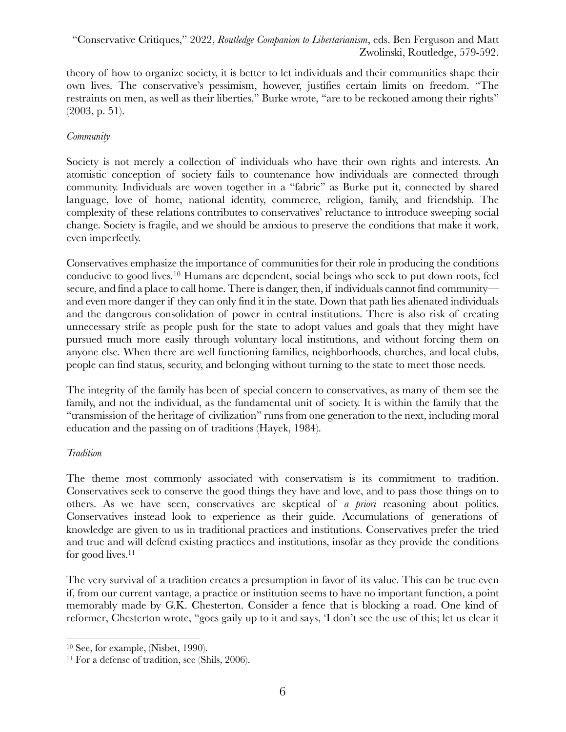theory of how to organize society, it is better to let individuals and their communities shape their own lives. The conservative's pessimism, however, justifies certain limits on freedom. "The restraints on men, as well as their liberties," Burke wrote, "are to be reckoned among their rights" (2003, p. 51).

# *Community*

Society is not merely a collection of individuals who have their own rights and interests. An atomistic conception of society fails to countenance how individuals are connected through community. Individuals are woven together in a "fabric" as Burke put it, connected by shared language, love of home, national identity, commerce, religion, family, and friendship. The complexity of these relations contributes to conservatives' reluctance to introduce sweeping social change. Society is fragile, and we should be anxious to preserve the conditions that make it work, even imperfectly.

Conservatives emphasize the importance of communities for their role in producing the conditions conducive to good lives.10 Humans are dependent, social beings who seek to put down roots, feel secure, and find a place to call home. There is danger, then, if individuals cannot find community and even more danger if they can only find it in the state. Down that path lies alienated individuals and the dangerous consolidation of power in central institutions. There is also risk of creating unnecessary strife as people push for the state to adopt values and goals that they might have pursued much more easily through voluntary local institutions, and without forcing them on anyone else. When there are well functioning families, neighborhoods, churches, and local clubs, people can find status, security, and belonging without turning to the state to meet those needs.

The integrity of the family has been of special concern to conservatives, as many of them see the family, and not the individual, as the fundamental unit of society. It is within the family that the "transmission of the heritage of civilization" runs from one generation to the next, including moral education and the passing on of traditions (Hayek, 1984).

# *Tradition*

The theme most commonly associated with conservatism is its commitment to tradition. Conservatives seek to conserve the good things they have and love, and to pass those things on to others. As we have seen, conservatives are skeptical of *a priori* reasoning about politics. Conservatives instead look to experience as their guide. Accumulations of generations of knowledge are given to us in traditional practices and institutions. Conservatives prefer the tried and true and will defend existing practices and institutions, insofar as they provide the conditions for good lives.<sup>11</sup>

The very survival of a tradition creates a presumption in favor of its value. This can be true even if, from our current vantage, a practice or institution seems to have no important function, a point memorably made by G.K. Chesterton. Consider a fence that is blocking a road. One kind of reformer, Chesterton wrote, "goes gaily up to it and says, 'I don't see the use of this; let us clear it

<sup>10</sup> See, for example, (Nisbet, 1990).

<sup>11</sup> For a defense of tradition, see (Shils, 2006).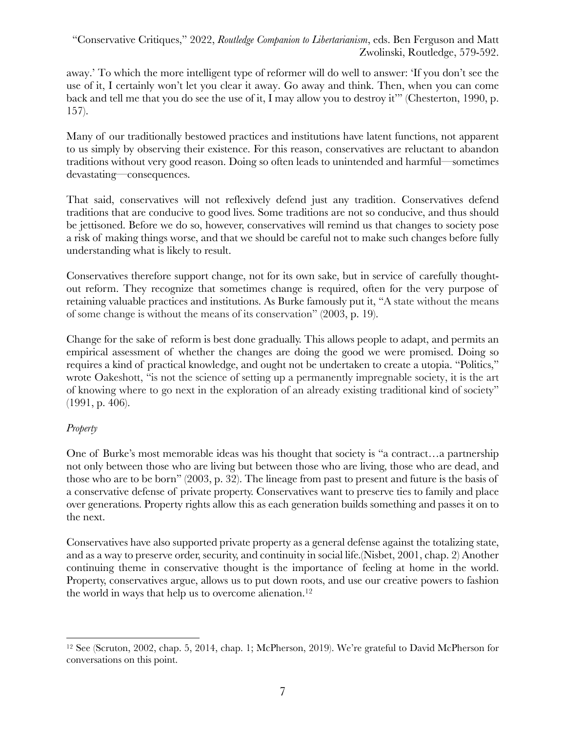away.' To which the more intelligent type of reformer will do well to answer: 'If you don't see the use of it, I certainly won't let you clear it away. Go away and think. Then, when you can come back and tell me that you do see the use of it, I may allow you to destroy it'" (Chesterton, 1990, p. 157).

Many of our traditionally bestowed practices and institutions have latent functions, not apparent to us simply by observing their existence. For this reason, conservatives are reluctant to abandon traditions without very good reason. Doing so often leads to unintended and harmful—sometimes devastating—consequences.

That said, conservatives will not reflexively defend just any tradition. Conservatives defend traditions that are conducive to good lives. Some traditions are not so conducive, and thus should be jettisoned. Before we do so, however, conservatives will remind us that changes to society pose a risk of making things worse, and that we should be careful not to make such changes before fully understanding what is likely to result.

Conservatives therefore support change, not for its own sake, but in service of carefully thoughtout reform. They recognize that sometimes change is required, often for the very purpose of retaining valuable practices and institutions. As Burke famously put it, "A state without the means of some change is without the means of its conservation" (2003, p. 19).

Change for the sake of reform is best done gradually. This allows people to adapt, and permits an empirical assessment of whether the changes are doing the good we were promised. Doing so requires a kind of practical knowledge, and ought not be undertaken to create a utopia. "Politics," wrote Oakeshott, "is not the science of setting up a permanently impregnable society, it is the art of knowing where to go next in the exploration of an already existing traditional kind of society" (1991, p. 406).

# *Property*

One of Burke's most memorable ideas was his thought that society is "a contract…a partnership not only between those who are living but between those who are living, those who are dead, and those who are to be born" (2003, p. 32). The lineage from past to present and future is the basis of a conservative defense of private property. Conservatives want to preserve ties to family and place over generations. Property rights allow this as each generation builds something and passes it on to the next.

Conservatives have also supported private property as a general defense against the totalizing state, and as a way to preserve order, security, and continuity in social life.(Nisbet, 2001, chap. 2) Another continuing theme in conservative thought is the importance of feeling at home in the world. Property, conservatives argue, allows us to put down roots, and use our creative powers to fashion the world in ways that help us to overcome alienation.<sup>12</sup>

<sup>12</sup> See (Scruton, 2002, chap. 5, 2014, chap. 1; McPherson, 2019). We're grateful to David McPherson for conversations on this point.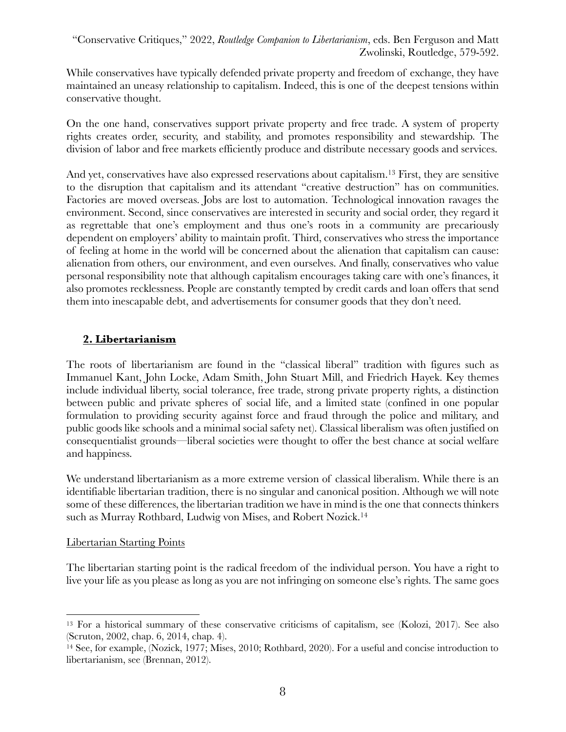While conservatives have typically defended private property and freedom of exchange, they have maintained an uneasy relationship to capitalism. Indeed, this is one of the deepest tensions within conservative thought.

On the one hand, conservatives support private property and free trade. A system of property rights creates order, security, and stability, and promotes responsibility and stewardship. The division of labor and free markets efficiently produce and distribute necessary goods and services.

And yet, conservatives have also expressed reservations about capitalism.<sup>13</sup> First, they are sensitive to the disruption that capitalism and its attendant "creative destruction" has on communities. Factories are moved overseas. Jobs are lost to automation. Technological innovation ravages the environment. Second, since conservatives are interested in security and social order, they regard it as regrettable that one's employment and thus one's roots in a community are precariously dependent on employers' ability to maintain profit. Third, conservatives who stress the importance of feeling at home in the world will be concerned about the alienation that capitalism can cause: alienation from others, our environment, and even ourselves. And finally, conservatives who value personal responsibility note that although capitalism encourages taking care with one's finances, it also promotes recklessness. People are constantly tempted by credit cards and loan offers that send them into inescapable debt, and advertisements for consumer goods that they don't need.

# **2. Libertarianism**

The roots of libertarianism are found in the "classical liberal" tradition with figures such as Immanuel Kant, John Locke, Adam Smith, John Stuart Mill, and Friedrich Hayek. Key themes include individual liberty, social tolerance, free trade, strong private property rights, a distinction between public and private spheres of social life, and a limited state (confined in one popular formulation to providing security against force and fraud through the police and military, and public goods like schools and a minimal social safety net). Classical liberalism was often justified on consequentialist grounds—liberal societies were thought to offer the best chance at social welfare and happiness.

We understand libertarianism as a more extreme version of classical liberalism. While there is an identifiable libertarian tradition, there is no singular and canonical position. Although we will note some of these differences, the libertarian tradition we have in mind is the one that connects thinkers such as Murray Rothbard, Ludwig von Mises, and Robert Nozick.<sup>14</sup>

#### Libertarian Starting Points

The libertarian starting point is the radical freedom of the individual person. You have a right to live your life as you please as long as you are not infringing on someone else's rights. The same goes

<sup>13</sup> For a historical summary of these conservative criticisms of capitalism, see (Kolozi, 2017). See also (Scruton, 2002, chap. 6, 2014, chap. 4).

<sup>14</sup> See, for example, (Nozick, 1977; Mises, 2010; Rothbard, 2020). For a useful and concise introduction to libertarianism, see (Brennan, 2012).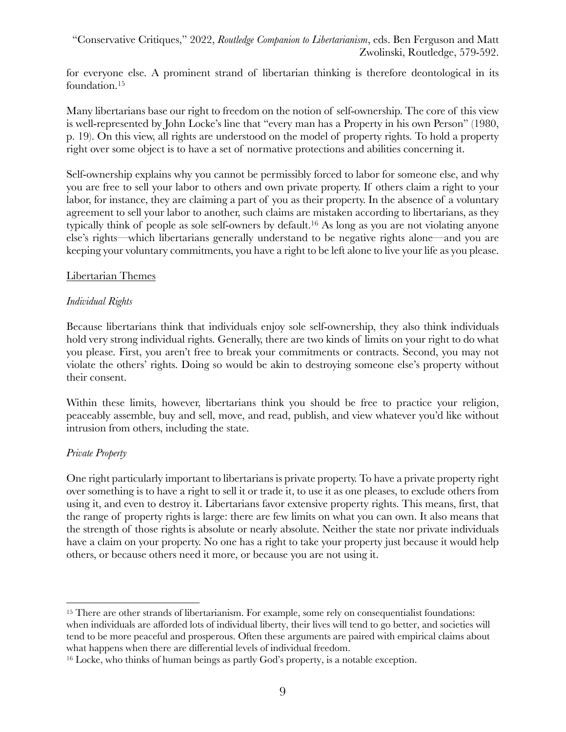for everyone else. A prominent strand of libertarian thinking is therefore deontological in its foundation.15

Many libertarians base our right to freedom on the notion of self-ownership. The core of this view is well-represented by John Locke's line that "every man has a Property in his own Person" (1980, p. 19). On this view, all rights are understood on the model of property rights. To hold a property right over some object is to have a set of normative protections and abilities concerning it.

Self-ownership explains why you cannot be permissibly forced to labor for someone else, and why you are free to sell your labor to others and own private property. If others claim a right to your labor, for instance, they are claiming a part of you as their property. In the absence of a voluntary agreement to sell your labor to another, such claims are mistaken according to libertarians, as they typically think of people as sole self-owners by default.16 As long as you are not violating anyone else's rights—which libertarians generally understand to be negative rights alone—and you are keeping your voluntary commitments, you have a right to be left alone to live your life as you please.

#### Libertarian Themes

#### *Individual Rights*

Because libertarians think that individuals enjoy sole self-ownership, they also think individuals hold very strong individual rights. Generally, there are two kinds of limits on your right to do what you please. First, you aren't free to break your commitments or contracts. Second, you may not violate the others' rights. Doing so would be akin to destroying someone else's property without their consent.

Within these limits, however, libertarians think you should be free to practice your religion, peaceably assemble, buy and sell, move, and read, publish, and view whatever you'd like without intrusion from others, including the state.

# *Private Property*

One right particularly important to libertarians is private property. To have a private property right over something is to have a right to sell it or trade it, to use it as one pleases, to exclude others from using it, and even to destroy it. Libertarians favor extensive property rights. This means, first, that the range of property rights is large: there are few limits on what you can own. It also means that the strength of those rights is absolute or nearly absolute. Neither the state nor private individuals have a claim on your property. No one has a right to take your property just because it would help others, or because others need it more, or because you are not using it.

<sup>&</sup>lt;sup>15</sup> There are other strands of libertarianism. For example, some rely on consequentialist foundations: when individuals are afforded lots of individual liberty, their lives will tend to go better, and societies will tend to be more peaceful and prosperous. Often these arguments are paired with empirical claims about what happens when there are differential levels of individual freedom.

<sup>16</sup> Locke, who thinks of human beings as partly God's property, is a notable exception.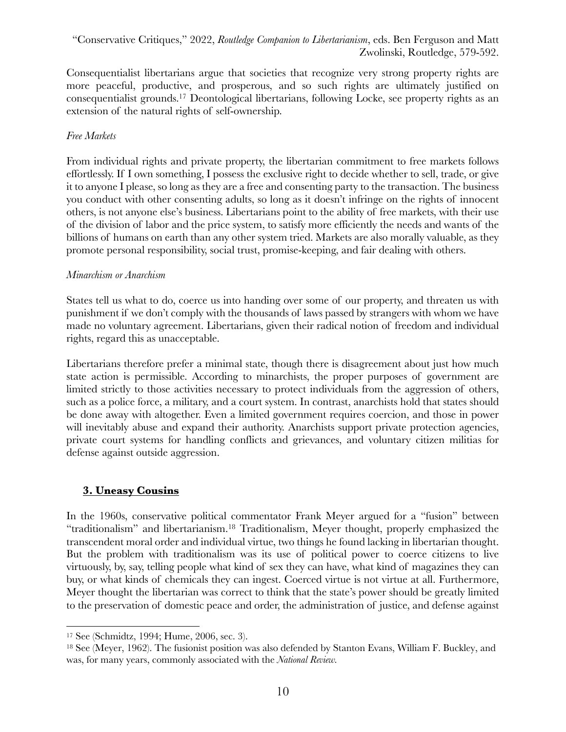Consequentialist libertarians argue that societies that recognize very strong property rights are more peaceful, productive, and prosperous, and so such rights are ultimately justified on consequentialist grounds.17 Deontological libertarians, following Locke, see property rights as an extension of the natural rights of self-ownership.

# *Free Markets*

From individual rights and private property, the libertarian commitment to free markets follows effortlessly. If I own something, I possess the exclusive right to decide whether to sell, trade, or give it to anyone I please, so long as they are a free and consenting party to the transaction. The business you conduct with other consenting adults, so long as it doesn't infringe on the rights of innocent others, is not anyone else's business. Libertarians point to the ability of free markets, with their use of the division of labor and the price system, to satisfy more efficiently the needs and wants of the billions of humans on earth than any other system tried. Markets are also morally valuable, as they promote personal responsibility, social trust, promise-keeping, and fair dealing with others.

#### *Minarchism or Anarchism*

States tell us what to do, coerce us into handing over some of our property, and threaten us with punishment if we don't comply with the thousands of laws passed by strangers with whom we have made no voluntary agreement. Libertarians, given their radical notion of freedom and individual rights, regard this as unacceptable.

Libertarians therefore prefer a minimal state, though there is disagreement about just how much state action is permissible. According to minarchists, the proper purposes of government are limited strictly to those activities necessary to protect individuals from the aggression of others, such as a police force, a military, and a court system. In contrast, anarchists hold that states should be done away with altogether. Even a limited government requires coercion, and those in power will inevitably abuse and expand their authority. Anarchists support private protection agencies, private court systems for handling conflicts and grievances, and voluntary citizen militias for defense against outside aggression.

# **3. Uneasy Cousins**

In the 1960s, conservative political commentator Frank Meyer argued for a "fusion" between "traditionalism" and libertarianism.18 Traditionalism, Meyer thought, properly emphasized the transcendent moral order and individual virtue, two things he found lacking in libertarian thought. But the problem with traditionalism was its use of political power to coerce citizens to live virtuously, by, say, telling people what kind of sex they can have, what kind of magazines they can buy, or what kinds of chemicals they can ingest. Coerced virtue is not virtue at all. Furthermore, Meyer thought the libertarian was correct to think that the state's power should be greatly limited to the preservation of domestic peace and order, the administration of justice, and defense against

<sup>17</sup> See (Schmidtz, 1994; Hume, 2006, sec. 3).

<sup>18</sup> See (Meyer, 1962). The fusionist position was also defended by Stanton Evans, William F. Buckley, and was, for many years, commonly associated with the *National Review.*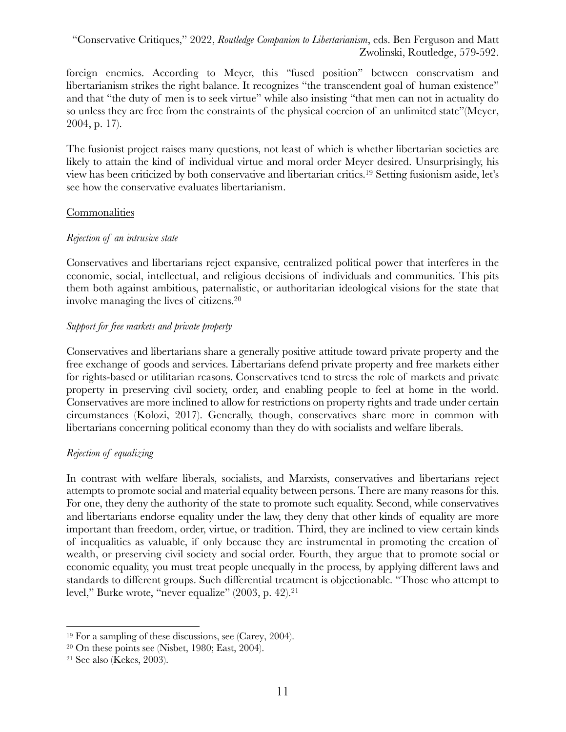foreign enemies. According to Meyer, this "fused position" between conservatism and libertarianism strikes the right balance. It recognizes "the transcendent goal of human existence" and that "the duty of men is to seek virtue" while also insisting "that men can not in actuality do so unless they are free from the constraints of the physical coercion of an unlimited state"(Meyer, 2004, p. 17).

The fusionist project raises many questions, not least of which is whether libertarian societies are likely to attain the kind of individual virtue and moral order Meyer desired. Unsurprisingly, his view has been criticized by both conservative and libertarian critics.19 Setting fusionism aside, let's see how the conservative evaluates libertarianism.

#### Commonalities

# *Rejection of an intrusive state*

Conservatives and libertarians reject expansive, centralized political power that interferes in the economic, social, intellectual, and religious decisions of individuals and communities. This pits them both against ambitious, paternalistic, or authoritarian ideological visions for the state that involve managing the lives of citizens.20

#### *Support for free markets and private property*

Conservatives and libertarians share a generally positive attitude toward private property and the free exchange of goods and services. Libertarians defend private property and free markets either for rights-based or utilitarian reasons. Conservatives tend to stress the role of markets and private property in preserving civil society, order, and enabling people to feel at home in the world. Conservatives are more inclined to allow for restrictions on property rights and trade under certain circumstances (Kolozi, 2017). Generally, though, conservatives share more in common with libertarians concerning political economy than they do with socialists and welfare liberals.

# *Rejection of equalizing*

In contrast with welfare liberals, socialists, and Marxists, conservatives and libertarians reject attempts to promote social and material equality between persons. There are many reasons for this. For one, they deny the authority of the state to promote such equality. Second, while conservatives and libertarians endorse equality under the law, they deny that other kinds of equality are more important than freedom, order, virtue, or tradition. Third, they are inclined to view certain kinds of inequalities as valuable, if only because they are instrumental in promoting the creation of wealth, or preserving civil society and social order. Fourth, they argue that to promote social or economic equality, you must treat people unequally in the process, by applying different laws and standards to different groups. Such differential treatment is objectionable. "Those who attempt to level," Burke wrote, "never equalize" (2003, p. 42). 21

<sup>19</sup> For a sampling of these discussions, see (Carey, 2004).

<sup>20</sup> On these points see (Nisbet, 1980; East, 2004).

<sup>21</sup> See also (Kekes, 2003).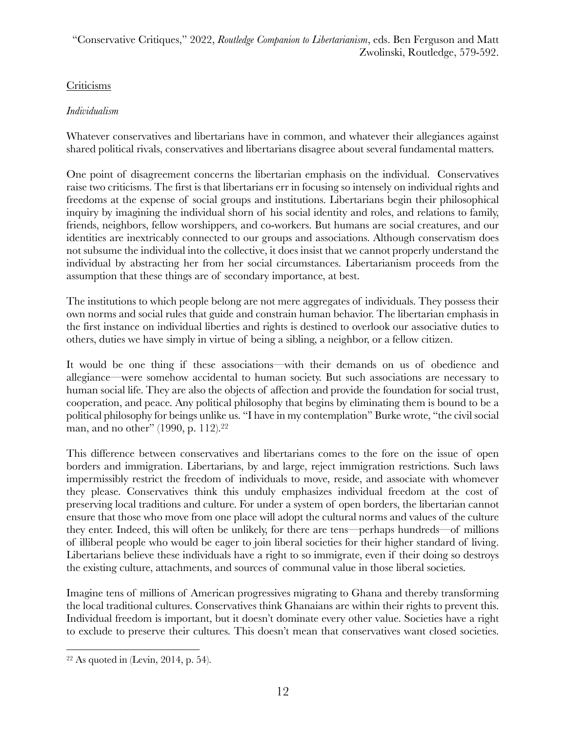# Criticisms

# *Individualism*

Whatever conservatives and libertarians have in common, and whatever their allegiances against shared political rivals, conservatives and libertarians disagree about several fundamental matters.

One point of disagreement concerns the libertarian emphasis on the individual. Conservatives raise two criticisms. The first is that libertarians err in focusing so intensely on individual rights and freedoms at the expense of social groups and institutions. Libertarians begin their philosophical inquiry by imagining the individual shorn of his social identity and roles, and relations to family, friends, neighbors, fellow worshippers, and co-workers. But humans are social creatures, and our identities are inextricably connected to our groups and associations. Although conservatism does not subsume the individual into the collective, it does insist that we cannot properly understand the individual by abstracting her from her social circumstances. Libertarianism proceeds from the assumption that these things are of secondary importance, at best.

The institutions to which people belong are not mere aggregates of individuals. They possess their own norms and social rules that guide and constrain human behavior. The libertarian emphasis in the first instance on individual liberties and rights is destined to overlook our associative duties to others, duties we have simply in virtue of being a sibling, a neighbor, or a fellow citizen.

It would be one thing if these associations—with their demands on us of obedience and allegiance—were somehow accidental to human society. But such associations are necessary to human social life. They are also the objects of affection and provide the foundation for social trust, cooperation, and peace. Any political philosophy that begins by eliminating them is bound to be a political philosophy for beings unlike us. "I have in my contemplation" Burke wrote, "the civil social man, and no other" (1990, p. 112). 22

This difference between conservatives and libertarians comes to the fore on the issue of open borders and immigration. Libertarians, by and large, reject immigration restrictions. Such laws impermissibly restrict the freedom of individuals to move, reside, and associate with whomever they please. Conservatives think this unduly emphasizes individual freedom at the cost of preserving local traditions and culture. For under a system of open borders, the libertarian cannot ensure that those who move from one place will adopt the cultural norms and values of the culture they enter. Indeed, this will often be unlikely, for there are tens—perhaps hundreds—of millions of illiberal people who would be eager to join liberal societies for their higher standard of living. Libertarians believe these individuals have a right to so immigrate, even if their doing so destroys the existing culture, attachments, and sources of communal value in those liberal societies.

Imagine tens of millions of American progressives migrating to Ghana and thereby transforming the local traditional cultures. Conservatives think Ghanaians are within their rights to prevent this. Individual freedom is important, but it doesn't dominate every other value. Societies have a right to exclude to preserve their cultures. This doesn't mean that conservatives want closed societies.

 $22$  As quoted in (Levin, 2014, p. 54).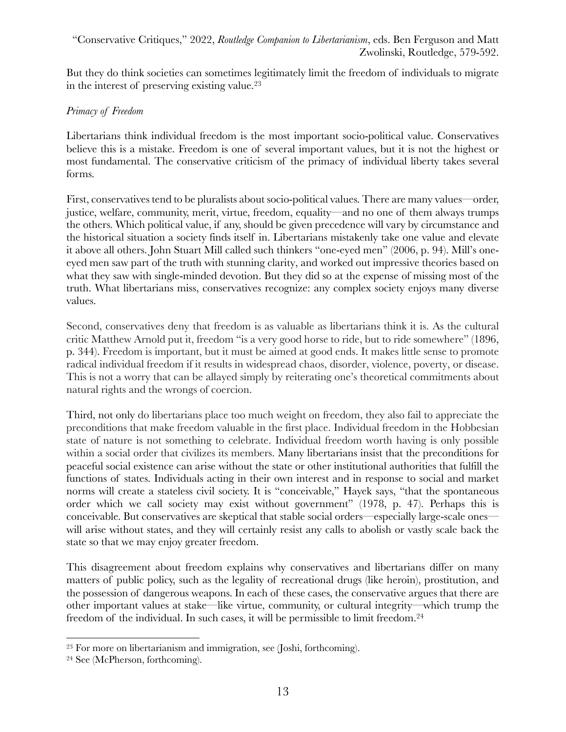But they do think societies can sometimes legitimately limit the freedom of individuals to migrate in the interest of preserving existing value.23

# *Primacy of Freedom*

Libertarians think individual freedom is the most important socio-political value. Conservatives believe this is a mistake. Freedom is one of several important values, but it is not the highest or most fundamental. The conservative criticism of the primacy of individual liberty takes several forms.

First, conservatives tend to be pluralists about socio-political values. There are many values—order, justice, welfare, community, merit, virtue, freedom, equality—and no one of them always trumps the others. Which political value, if any, should be given precedence will vary by circumstance and the historical situation a society finds itself in. Libertarians mistakenly take one value and elevate it above all others. John Stuart Mill called such thinkers "one-eyed men" (2006, p. 94). Mill's oneeyed men saw part of the truth with stunning clarity, and worked out impressive theories based on what they saw with single-minded devotion. But they did so at the expense of missing most of the truth. What libertarians miss, conservatives recognize: any complex society enjoys many diverse values.

Second, conservatives deny that freedom is as valuable as libertarians think it is. As the cultural critic Matthew Arnold put it, freedom "is a very good horse to ride, but to ride somewhere" (1896, p. 344). Freedom is important, but it must be aimed at good ends. It makes little sense to promote radical individual freedom if it results in widespread chaos, disorder, violence, poverty, or disease. This is not a worry that can be allayed simply by reiterating one's theoretical commitments about natural rights and the wrongs of coercion.

Third, not only do libertarians place too much weight on freedom, they also fail to appreciate the preconditions that make freedom valuable in the first place. Individual freedom in the Hobbesian state of nature is not something to celebrate. Individual freedom worth having is only possible within a social order that civilizes its members. Many libertarians insist that the preconditions for peaceful social existence can arise without the state or other institutional authorities that fulfill the functions of states. Individuals acting in their own interest and in response to social and market norms will create a stateless civil society. It is "conceivable," Hayek says, "that the spontaneous order which we call society may exist without government" (1978, p. 47). Perhaps this is conceivable. But conservatives are skeptical that stable social orders—especially large-scale ones will arise without states, and they will certainly resist any calls to abolish or vastly scale back the state so that we may enjoy greater freedom.

This disagreement about freedom explains why conservatives and libertarians differ on many matters of public policy, such as the legality of recreational drugs (like heroin), prostitution, and the possession of dangerous weapons. In each of these cases, the conservative argues that there are other important values at stake—like virtue, community, or cultural integrity—which trump the freedom of the individual. In such cases, it will be permissible to limit freedom.24

<sup>23</sup> For more on libertarianism and immigration, see (Joshi, forthcoming).

<sup>24</sup> See (McPherson, forthcoming).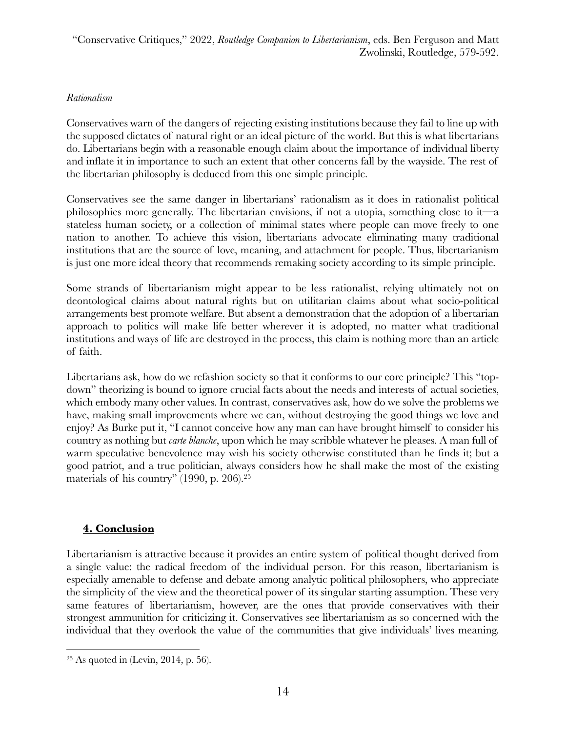#### *Rationalism*

Conservatives warn of the dangers of rejecting existing institutions because they fail to line up with the supposed dictates of natural right or an ideal picture of the world. But this is what libertarians do. Libertarians begin with a reasonable enough claim about the importance of individual liberty and inflate it in importance to such an extent that other concerns fall by the wayside. The rest of the libertarian philosophy is deduced from this one simple principle.

Conservatives see the same danger in libertarians' rationalism as it does in rationalist political philosophies more generally. The libertarian envisions, if not a utopia, something close to it—a stateless human society, or a collection of minimal states where people can move freely to one nation to another. To achieve this vision, libertarians advocate eliminating many traditional institutions that are the source of love, meaning, and attachment for people. Thus, libertarianism is just one more ideal theory that recommends remaking society according to its simple principle.

Some strands of libertarianism might appear to be less rationalist, relying ultimately not on deontological claims about natural rights but on utilitarian claims about what socio-political arrangements best promote welfare. But absent a demonstration that the adoption of a libertarian approach to politics will make life better wherever it is adopted, no matter what traditional institutions and ways of life are destroyed in the process, this claim is nothing more than an article of faith.

Libertarians ask, how do we refashion society so that it conforms to our core principle? This "topdown" theorizing is bound to ignore crucial facts about the needs and interests of actual societies, which embody many other values. In contrast, conservatives ask, how do we solve the problems we have, making small improvements where we can, without destroying the good things we love and enjoy? As Burke put it, "I cannot conceive how any man can have brought himself to consider his country as nothing but *carte blanche*, upon which he may scribble whatever he pleases. A man full of warm speculative benevolence may wish his society otherwise constituted than he finds it; but a good patriot, and a true politician, always considers how he shall make the most of the existing materials of his country" (1990, p. 206). 25

# **4. Conclusion**

Libertarianism is attractive because it provides an entire system of political thought derived from a single value: the radical freedom of the individual person. For this reason, libertarianism is especially amenable to defense and debate among analytic political philosophers, who appreciate the simplicity of the view and the theoretical power of its singular starting assumption. These very same features of libertarianism, however, are the ones that provide conservatives with their strongest ammunition for criticizing it. Conservatives see libertarianism as so concerned with the individual that they overlook the value of the communities that give individuals' lives meaning.

 $25$  As quoted in (Levin, 2014, p. 56).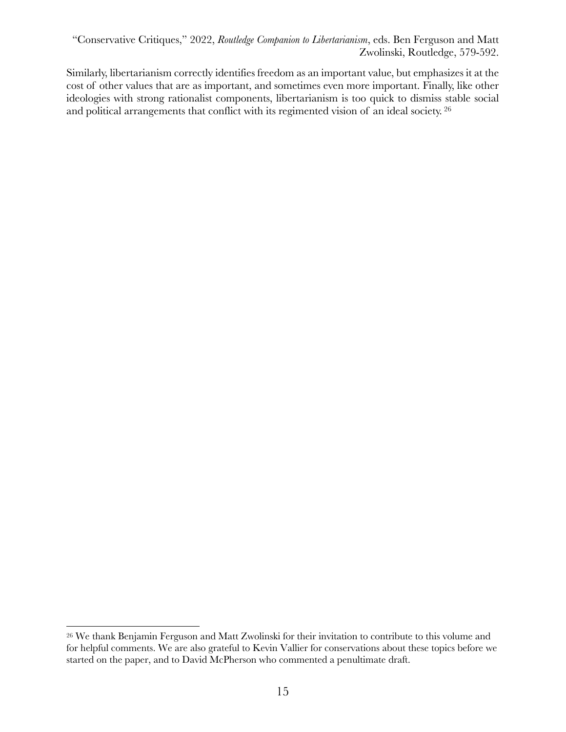Similarly, libertarianism correctly identifies freedom as an important value, but emphasizes it at the cost of other values that are as important, and sometimes even more important. Finally, like other ideologies with strong rationalist components, libertarianism is too quick to dismiss stable social and political arrangements that conflict with its regimented vision of an ideal society. <sup>26</sup>

<sup>26</sup> We thank Benjamin Ferguson and Matt Zwolinski for their invitation to contribute to this volume and for helpful comments. We are also grateful to Kevin Vallier for conservations about these topics before we started on the paper, and to David McPherson who commented a penultimate draft.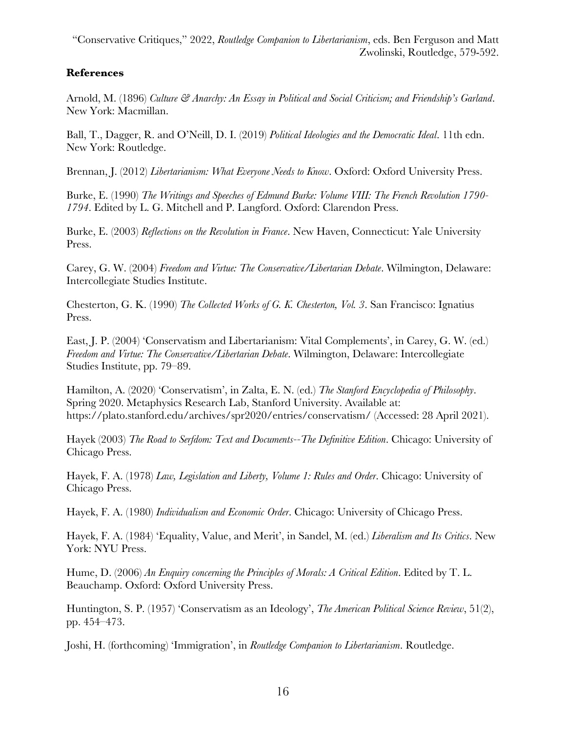# **References**

Arnold, M. (1896) *Culture & Anarchy: An Essay in Political and Social Criticism; and Friendship's Garland*. New York: Macmillan.

Ball, T., Dagger, R. and O'Neill, D. I. (2019) *Political Ideologies and the Democratic Ideal*. 11th edn. New York: Routledge.

Brennan, J. (2012) *Libertarianism: What Everyone Needs to Know*. Oxford: Oxford University Press.

Burke, E. (1990) *The Writings and Speeches of Edmund Burke: Volume VIII: The French Revolution 1790- 1794*. Edited by L. G. Mitchell and P. Langford. Oxford: Clarendon Press.

Burke, E. (2003) *Reflections on the Revolution in France*. New Haven, Connecticut: Yale University Press.

Carey, G. W. (2004) *Freedom and Virtue: The Conservative/Libertarian Debate*. Wilmington, Delaware: Intercollegiate Studies Institute.

Chesterton, G. K. (1990) *The Collected Works of G. K. Chesterton, Vol. 3*. San Francisco: Ignatius Press.

East, J. P. (2004) 'Conservatism and Libertarianism: Vital Complements', in Carey, G. W. (ed.) *Freedom and Virtue: The Conservative/Libertarian Debate*. Wilmington, Delaware: Intercollegiate Studies Institute, pp. 79–89.

Hamilton, A. (2020) 'Conservatism', in Zalta, E. N. (ed.) *The Stanford Encyclopedia of Philosophy*. Spring 2020. Metaphysics Research Lab, Stanford University. Available at: https://plato.stanford.edu/archives/spr2020/entries/conservatism/ (Accessed: 28 April 2021).

Hayek (2003) *The Road to Serfdom: Text and Documents--The Definitive Edition*. Chicago: University of Chicago Press.

Hayek, F. A. (1978) *Law, Legislation and Liberty, Volume 1: Rules and Order*. Chicago: University of Chicago Press.

Hayek, F. A. (1980) *Individualism and Economic Order*. Chicago: University of Chicago Press.

Hayek, F. A. (1984) 'Equality, Value, and Merit', in Sandel, M. (ed.) *Liberalism and Its Critics*. New York: NYU Press.

Hume, D. (2006) *An Enquiry concerning the Principles of Morals: A Critical Edition*. Edited by T. L. Beauchamp. Oxford: Oxford University Press.

Huntington, S. P. (1957) 'Conservatism as an Ideology', *The American Political Science Review*, 51(2), pp. 454–473.

Joshi, H. (forthcoming) 'Immigration', in *Routledge Companion to Libertarianism*. Routledge.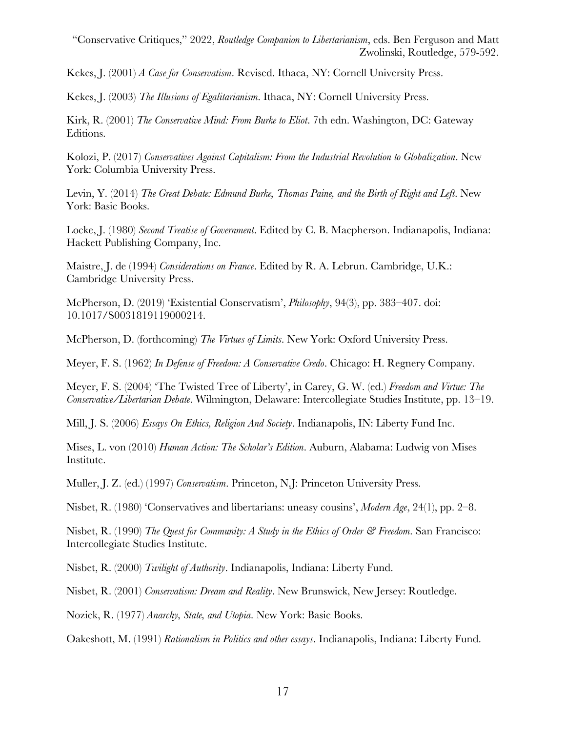Kekes, J. (2001) *A Case for Conservatism*. Revised. Ithaca, NY: Cornell University Press.

Kekes, J. (2003) *The Illusions of Egalitarianism*. Ithaca, NY: Cornell University Press.

Kirk, R. (2001) *The Conservative Mind: From Burke to Eliot*. 7th edn. Washington, DC: Gateway Editions.

Kolozi, P. (2017) *Conservatives Against Capitalism: From the Industrial Revolution to Globalization*. New York: Columbia University Press.

Levin, Y. (2014) *The Great Debate: Edmund Burke, Thomas Paine, and the Birth of Right and Left*. New York: Basic Books.

Locke, J. (1980) *Second Treatise of Government*. Edited by C. B. Macpherson. Indianapolis, Indiana: Hackett Publishing Company, Inc.

Maistre, J. de (1994) *Considerations on France*. Edited by R. A. Lebrun. Cambridge, U.K.: Cambridge University Press.

McPherson, D. (2019) 'Existential Conservatism', *Philosophy*, 94(3), pp. 383–407. doi: 10.1017/S0031819119000214.

McPherson, D. (forthcoming) *The Virtues of Limits*. New York: Oxford University Press.

Meyer, F. S. (1962) *In Defense of Freedom: A Conservative Credo*. Chicago: H. Regnery Company.

Meyer, F. S. (2004) 'The Twisted Tree of Liberty', in Carey, G. W. (ed.) *Freedom and Virtue: The Conservative/Libertarian Debate*. Wilmington, Delaware: Intercollegiate Studies Institute, pp. 13–19.

Mill, J. S. (2006) *Essays On Ethics, Religion And Society*. Indianapolis, IN: Liberty Fund Inc.

Mises, L. von (2010) *Human Action: The Scholar's Edition*. Auburn, Alabama: Ludwig von Mises Institute.

Muller, J. Z. (ed.) (1997) *Conservatism*. Princeton, N.J: Princeton University Press.

Nisbet, R. (1980) 'Conservatives and libertarians: uneasy cousins', *Modern Age*, 24(1), pp. 2–8.

Nisbet, R. (1990) *The Quest for Community: A Study in the Ethics of Order & Freedom*. San Francisco: Intercollegiate Studies Institute.

Nisbet, R. (2000) *Twilight of Authority*. Indianapolis, Indiana: Liberty Fund.

Nisbet, R. (2001) *Conservatism: Dream and Reality*. New Brunswick, New Jersey: Routledge.

Nozick, R. (1977) *Anarchy, State, and Utopia*. New York: Basic Books.

Oakeshott, M. (1991) *Rationalism in Politics and other essays*. Indianapolis, Indiana: Liberty Fund.